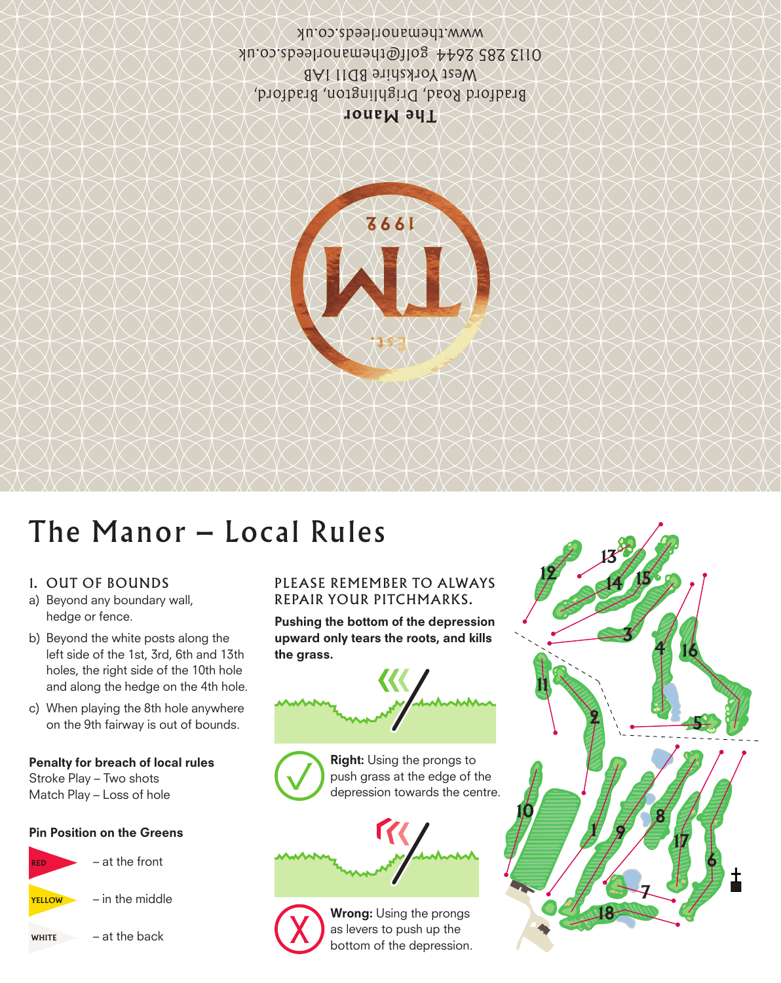**The Manor** Bradford Road, Drighlington, Bradford, West Yorkshire BD111AB 0113 285 2644 golf@themanorleeds.co.uk www.themanorleeds.co.uk



# The Manor – Local Rules

## 1. OUT OF BOUNDS

- a) Beyond any boundary wall, hedge or fence.
- b) Beyond the white posts along the left side of the 1st, 3rd, 6th and 13th holes, the right side of the 10th hole and along the hedge on the 4th hole.
- c) When playing the 8th hole anywhere on the 9th fairway is out of bounds.

#### Penalty for breach of local rules

Stroke Play – Two shots Match Play – Loss of hole

#### Pin Position on the Greens



### PLEASE REMEMBER TO ALWAYS REPAIR YOUR PITCHMARKS.

Pushing the bottom of the depression upward only tears the roots, and kills the grass.



Right: Using the prongs to push grass at the edge of the depression towards the centre.





Wrong: Using the prongs as levers to push up the bottom of the depression.